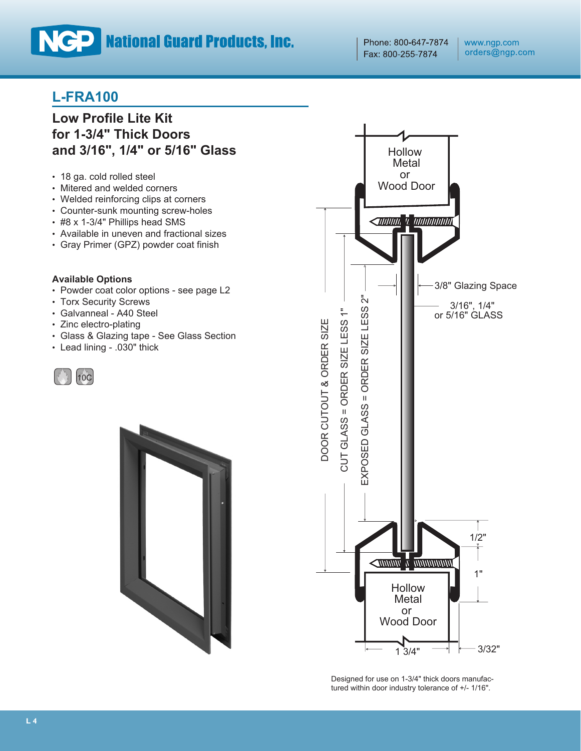# **NCP** National Guard Products, Inc.

Phone: 800-647-7874 Fax: 800-255-7874

## **L-FRA100**

## **Low Profile Lite Kit for 1-3/4" Thick Doors and 3/16", 1/4" or 5/16" Glass**

- 18 ga. cold rolled steel
- Mitered and welded corners
- Welded reinforcing clips at corners
- Counter-sunk mounting screw-holes
- #8 x 1-3/4" Phillips head SMS
- Available in uneven and fractional sizes
- Gray Primer (GPZ) powder coat finish

#### **Available Options**

- Powder coat color options see page L2
- Torx Security Screws
- Galvanneal A40 Steel
- Zinc electro-plating
- Glass & Glazing tape See Glass Section
- Lead lining .030" thick







Designed for use on 1-3/4" thick doors manufactured within door industry tolerance of +/- 1/16".